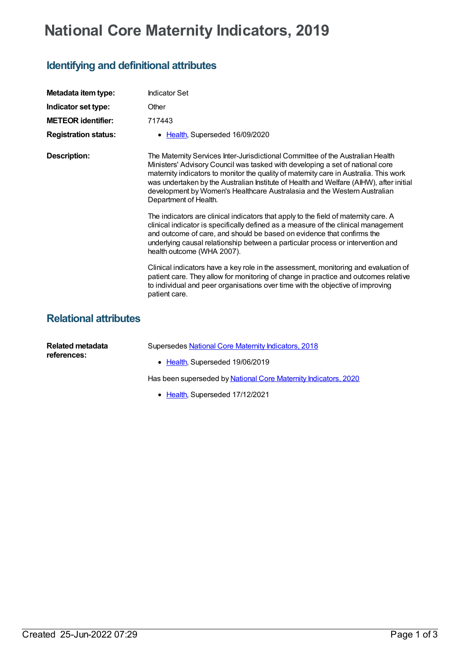## **National Core Maternity Indicators, 2019**

## **Identifying and definitional attributes**

| Metadata item type:          | <b>Indicator Set</b>                                                                                                                                                                                                                                                                                                                                                                                                                                    |
|------------------------------|---------------------------------------------------------------------------------------------------------------------------------------------------------------------------------------------------------------------------------------------------------------------------------------------------------------------------------------------------------------------------------------------------------------------------------------------------------|
| Indicator set type:          | Other                                                                                                                                                                                                                                                                                                                                                                                                                                                   |
| <b>METEOR</b> identifier:    | 717443                                                                                                                                                                                                                                                                                                                                                                                                                                                  |
| <b>Registration status:</b>  | • Health, Superseded 16/09/2020                                                                                                                                                                                                                                                                                                                                                                                                                         |
| <b>Description:</b>          | The Maternity Services Inter-Jurisdictional Committee of the Australian Health<br>Ministers' Advisory Council was tasked with developing a set of national core<br>maternity indicators to monitor the quality of maternity care in Australia. This work<br>was undertaken by the Australian Institute of Health and Welfare (AIHW), after initial<br>development by Women's Healthcare Australasia and the Western Australian<br>Department of Health. |
|                              | The indicators are clinical indicators that apply to the field of maternity care. A<br>clinical indicator is specifically defined as a measure of the clinical management<br>and outcome of care, and should be based on evidence that confirms the<br>underlying causal relationship between a particular process or intervention and<br>health outcome (WHA 2007).                                                                                    |
|                              | Clinical indicators have a key role in the assessment, monitoring and evaluation of<br>patient care. They allow for monitoring of change in practice and outcomes relative<br>to individual and peer organisations over time with the objective of improving<br>patient care.                                                                                                                                                                           |
| <b>Relational attributes</b> |                                                                                                                                                                                                                                                                                                                                                                                                                                                         |
| .                            |                                                                                                                                                                                                                                                                                                                                                                                                                                                         |

| Related metadata<br>references: | Supersedes National Core Maternity Indicators, 2018             |
|---------------------------------|-----------------------------------------------------------------|
|                                 | • Health, Superseded 19/06/2019                                 |
|                                 | Has been superseded by National Core Maternity Indicators, 2020 |

• [Health](https://meteor.aihw.gov.au/RegistrationAuthority/12), Superseded 17/12/2021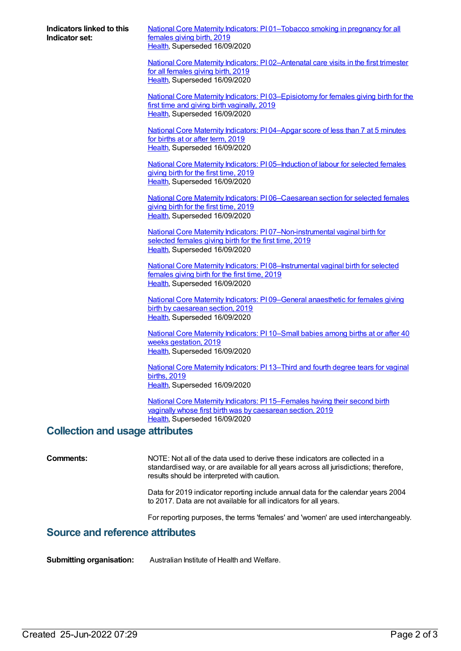**Indicators linked to this Indicator set:**

National Core Maternity Indicators: PI [01–Tobacco](https://meteor.aihw.gov.au/content/717528) smoking in pregnancy for all females giving birth, 2019 [Health](https://meteor.aihw.gov.au/RegistrationAuthority/12), Superseded 16/09/2020

National Core Maternity Indicators: P102-Antenatal care visits in the first trimester for all females giving birth, 2019 [Health](https://meteor.aihw.gov.au/RegistrationAuthority/12), Superseded 16/09/2020

National Core Maternity Indicators: PI [03–Episiotomy](https://meteor.aihw.gov.au/content/717532) for females giving birth for the first time and giving birth vaginally, 2019 [Health](https://meteor.aihw.gov.au/RegistrationAuthority/12), Superseded 16/09/2020

National Core Maternity [Indicators:](https://meteor.aihw.gov.au/content/717534) PI 04–Apgar score of less than 7 at 5 minutes for births at or after term, 2019 [Health](https://meteor.aihw.gov.au/RegistrationAuthority/12), Superseded 16/09/2020

National Core Maternity Indicators: PI 05-Induction of labour for selected females giving birth for the first time, 2019 [Health](https://meteor.aihw.gov.au/RegistrationAuthority/12), Superseded 16/09/2020

National Core Maternity Indicators: PI [06–Caesarean](https://meteor.aihw.gov.au/content/717538) section for selected females giving birth for the first time, 2019 [Health](https://meteor.aihw.gov.au/RegistrationAuthority/12), Superseded 16/09/2020

National Core Maternity Indicators: PI [07–Non-instrumental](https://meteor.aihw.gov.au/content/717540) vaginal birth for selected females giving birth for the first time, 2019 [Health](https://meteor.aihw.gov.au/RegistrationAuthority/12), Superseded 16/09/2020

National Core Maternity Indicators: PI 08-Instrumental vaginal birth for selected females giving birth for the first time, 2019 [Health](https://meteor.aihw.gov.au/RegistrationAuthority/12), Superseded 16/09/2020

National Core Maternity Indicators: PI [09–General](https://meteor.aihw.gov.au/content/717544) anaesthetic for females giving birth by caesarean section, 2019 [Health](https://meteor.aihw.gov.au/RegistrationAuthority/12), Superseded 16/09/2020

National Core Maternity [Indicators:](https://meteor.aihw.gov.au/content/717546) PI 10–Small babies among births at or after 40 weeks gestation, 2019 [Health](https://meteor.aihw.gov.au/RegistrationAuthority/12), Superseded 16/09/2020

National Core Maternity [Indicators:](https://meteor.aihw.gov.au/content/717548) PI 13–Third and fourth degree tears for vaginal births, 2019 [Health](https://meteor.aihw.gov.au/RegistrationAuthority/12), Superseded 16/09/2020

National Core Maternity Indicators: PI [15–Females](https://meteor.aihw.gov.au/content/717550) having their second birth vaginally whose first birth was by caesarean section, 2019 [Health](https://meteor.aihw.gov.au/RegistrationAuthority/12), Superseded 16/09/2020

## **Collection and usage attributes**

**Comments:** NOTE: Not all of the data used to derive these indicators are collected in a standardised way, or are available for all years across all jurisdictions; therefore, results should be interpreted with caution.

> Data for 2019 indicator reporting include annual data for the calendar years 2004 to 2017. Data are not available for all indicators for all years.

For reporting purposes, the terms 'females' and 'women' are used interchangeably.

## **Source and reference attributes**

**Submitting organisation:** Australian Institute of Health and Welfare.